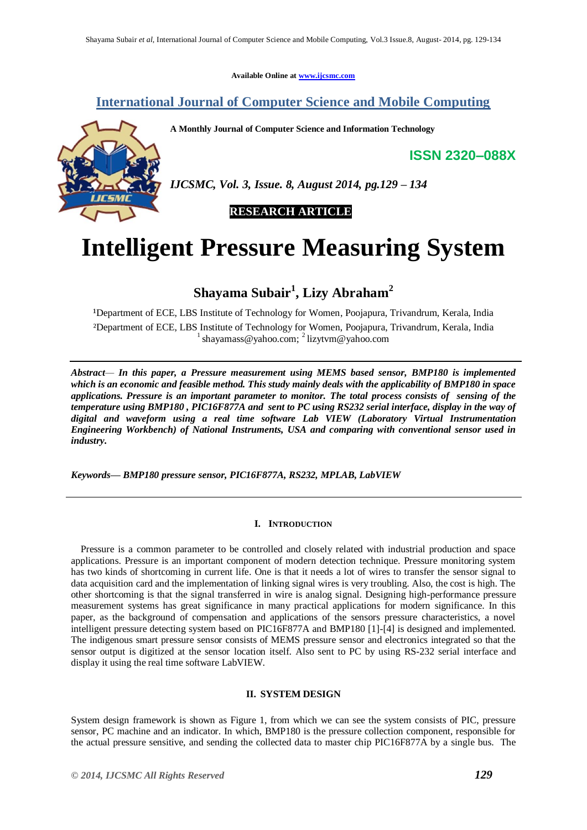**Available Online at www.ijcsmc.com**

# **International Journal of Computer Science and Mobile Computing**

**A Monthly Journal of Computer Science and Information Technology**

**ISSN 2320–088X**



*IJCSMC, Vol. 3, Issue. 8, August 2014, pg.129 – 134*

 **RESEARCH ARTICLE**

# **Intelligent Pressure Measuring System**

# **Shayama Subair<sup>1</sup> , Lizy Abraham<sup>2</sup>**

<sup>1</sup>Department of ECE, LBS Institute of Technology for Women, Poojapura, Trivandrum, Kerala, India ²Department of ECE, LBS Institute of Technology for Women, Poojapura, Trivandrum, Kerala, India <sup>1</sup> shayamass@yahoo.com; <sup>2</sup> lizytvm@yahoo.com

*Abstract— In this paper, a Pressure measurement using MEMS based sensor, BMP180 is implemented which is an economic and feasible method. This study mainly deals with the applicability of BMP180 in space applications. Pressure is an important parameter to monitor. The total process consists of sensing of the temperature using BMP180 , PIC16F877A and sent to PC using RS232 serial interface, display in the way of digital and waveform using a real time software Lab VIEW (Laboratory Virtual Instrumentation Engineering Workbench) of National Instruments, USA and comparing with conventional sensor used in industry.* 

*Keywords— BMP180 pressure sensor, PIC16F877A, RS232, MPLAB, LabVIEW* 

# **I. INTRODUCTION**

 Pressure is a common parameter to be controlled and closely related with industrial production and space applications. Pressure is an important component of modern detection technique. Pressure monitoring system has two kinds of shortcoming in current life. One is that it needs a lot of wires to transfer the sensor signal to data acquisition card and the implementation of linking signal wires is very troubling. Also, the cost is high. The other shortcoming is that the signal transferred in wire is analog signal. Designing high-performance pressure measurement systems has great significance in many practical applications for modern significance. In this paper, as the background of compensation and applications of the sensors pressure characteristics, a novel intelligent pressure detecting system based on PIC16F877A and BMP180 [1]-[4] is designed and implemented. The indigenous smart pressure sensor consists of MEMS pressure sensor and electronics integrated so that the sensor output is digitized at the sensor location itself. Also sent to PC by using RS-232 serial interface and display it using the real time software LabVIEW.

# **II. SYSTEM DESIGN**

System design framework is shown as Figure 1, from which we can see the system consists of PIC, pressure sensor, PC machine and an indicator. In which, BMP180 is the pressure collection component, responsible for the actual pressure sensitive, and sending the collected data to master chip PIC16F877A by a single bus. The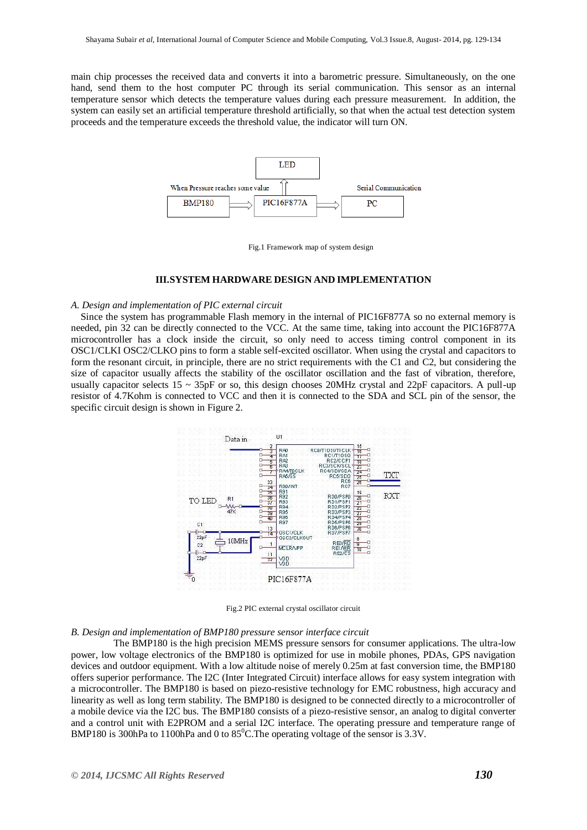main chip processes the received data and converts it into a barometric pressure. Simultaneously, on the one hand, send them to the host computer PC through its serial communication. This sensor as an internal temperature sensor which detects the temperature values during each pressure measurement. In addition, the system can easily set an artificial temperature threshold artificially, so that when the actual test detection system proceeds and the temperature exceeds the threshold value, the indicator will turn ON.



Fig.1 Framework map of system design

#### **III.SYSTEM HARDWARE DESIGN AND IMPLEMENTATION**

#### *A. Design and implementation of PIC external circuit*

 Since the system has programmable Flash memory in the internal of PIC16F877A so no external memory is needed, pin 32 can be directly connected to the VCC. At the same time, taking into account the PIC16F877A microcontroller has a clock inside the circuit, so only need to access timing control component in its OSC1/CLKI OSC2/CLKO pins to form a stable self-excited oscillator. When using the crystal and capacitors to form the resonant circuit, in principle, there are no strict requirements with the C1 and C2, but considering the size of capacitor usually affects the stability of the oscillator oscillation and the fast of vibration, therefore, usually capacitor selects  $15 \sim 35p$ F or so, this design chooses 20MHz crystal and 22pF capacitors. A pull-up resistor of 4.7Kohm is connected to VCC and then it is connected to the SDA and SCL pin of the sensor, the specific circuit design is shown in Figure 2.



Fig.2 PIC external crystal oscillator circuit

#### *B. Design and implementation of BMP180 pressure sensor interface circuit*

 The BMP180 is the high precision MEMS pressure sensors for consumer applications. The ultra-low power, low voltage electronics of the BMP180 is optimized for use in mobile phones, PDAs, GPS navigation devices and outdoor equipment. With a low altitude noise of merely 0.25m at fast conversion time, the BMP180 offers superior performance. The I2C (Inter Integrated Circuit) interface allows for easy system integration with a microcontroller. The BMP180 is based on piezo-resistive technology for EMC robustness, high accuracy and linearity as well as long term stability. The BMP180 is designed to be connected directly to a microcontroller of a mobile device via the I2C bus. The BMP180 consists of a piezo-resistive sensor, an analog to digital converter and a control unit with E2PROM and a serial I2C interface. The operating pressure and temperature range of BMP180 is 300hPa to 1100hPa and 0 to  $85^{\circ}$ C. The operating voltage of the sensor is 3.3V.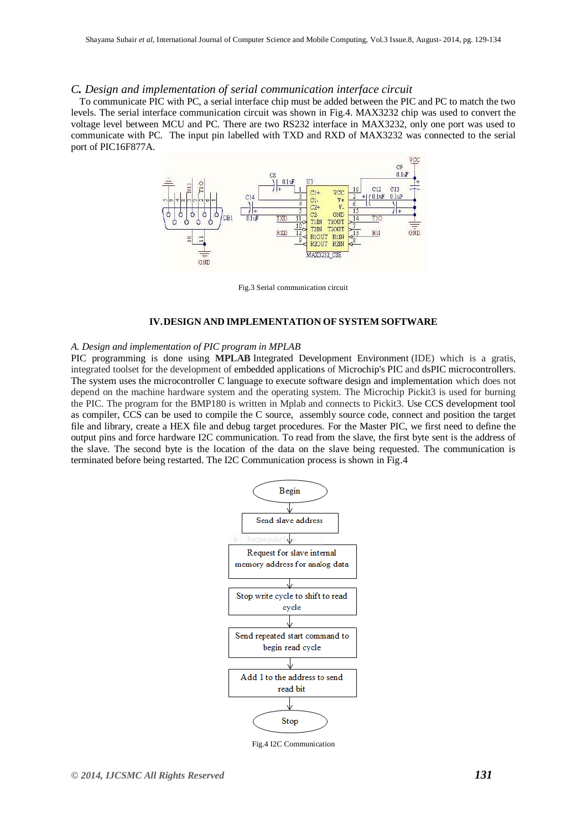## *C. Design and implementation of serial communication interface circuit*

 To communicate PIC with PC, a serial interface chip must be added between the PIC and PC to match the two levels. The serial interface communication circuit was shown in Fig.4. MAX3232 chip was used to convert the voltage level between MCU and PC. There are two RS232 interface in MAX3232, only one port was used to communicate with PC. The input pin labelled with TXD and RXD of MAX3232 was connected to the serial port of PIC16F877A.



Fig.3 Serial communication circuit

## **IV.DESIGN AND IMPLEMENTATION OF SYSTEM SOFTWARE**

#### *A. Design and implementation of PIC program in MPLAB*

PIC programming is done using **MPLAB** Integrated Development Environment (IDE) which is a gratis, integrated toolset for the development of embedded applications of Microchip's PIC and dsPIC microcontrollers. The system uses the microcontroller C language to execute software design and implementation which does not depend on the machine hardware system and the operating system. The Microchip Pickit3 is used for burning the PIC. The program for the BMP180 is written in Mplab and connects to Pickit3. Use CCS development tool as compiler, CCS can be used to compile the C source, assembly source code, connect and position the target file and library, create a HEX file and debug target procedures. For the Master PIC, we first need to define the output pins and force hardware I2C communication. To read from the slave, the first byte sent is the address of the slave. The second byte is the location of the data on the slave being requested. The communication is terminated before being restarted. The I2C Communication process is shown in Fig.4



Fig.4 I2C Communication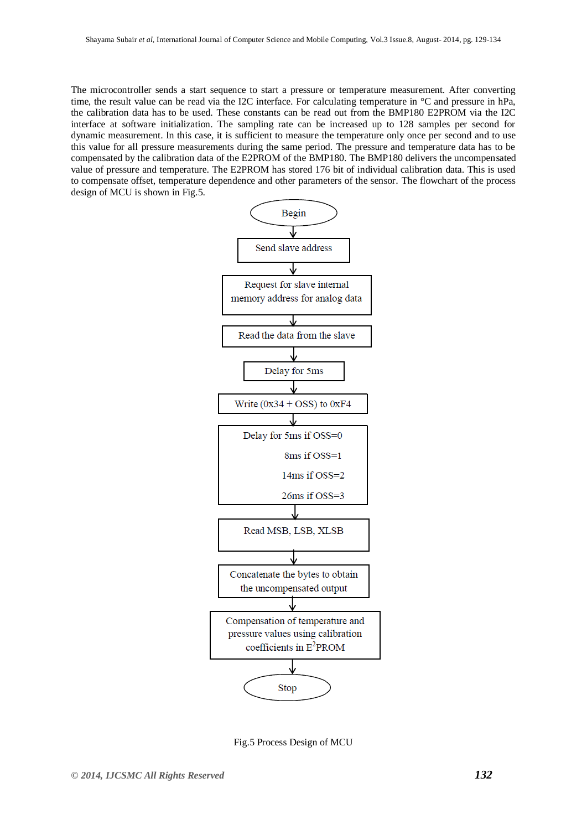The microcontroller sends a start sequence to start a pressure or temperature measurement. After converting time, the result value can be read via the I2C interface. For calculating temperature in °C and pressure in hPa, the calibration data has to be used. These constants can be read out from the BMP180 E2PROM via the I2C interface at software initialization. The sampling rate can be increased up to 128 samples per second for dynamic measurement. In this case, it is sufficient to measure the temperature only once per second and to use this value for all pressure measurements during the same period. The pressure and temperature data has to be compensated by the calibration data of the E2PROM of the BMP180. The BMP180 delivers the uncompensated value of pressure and temperature. The E2PROM has stored 176 bit of individual calibration data. This is used to compensate offset, temperature dependence and other parameters of the sensor. The flowchart of the process design of MCU is shown in Fig.5.



Fig.5 Process Design of MCU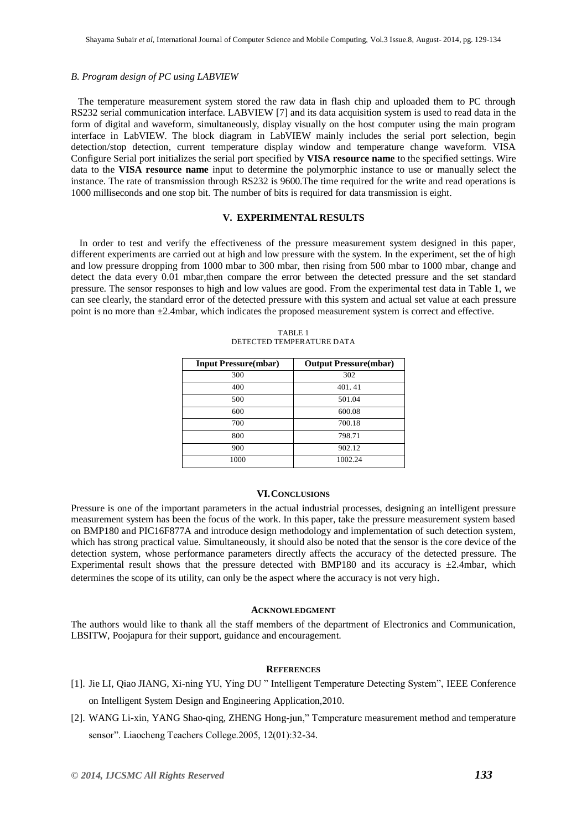#### *B. Program design of PC using LABVIEW*

 The temperature measurement system stored the raw data in flash chip and uploaded them to PC through RS232 serial communication interface. LABVIEW [7] and its data acquisition system is used to read data in the form of digital and waveform, simultaneously, display visually on the host computer using the main program interface in LabVIEW. The block diagram in LabVIEW mainly includes the serial port selection, begin detection/stop detection, current temperature display window and temperature change waveform. VISA Configure Serial port initializes the serial port specified by **VISA resource name** to the specified settings. Wire data to the **VISA resource name** input to determine the polymorphic instance to use or manually select the instance. The rate of transmission through RS232 is 9600.The time required for the write and read operations is 1000 milliseconds and one stop bit. The number of bits is required for data transmission is eight.

## **V. EXPERIMENTAL RESULTS**

 In order to test and verify the effectiveness of the pressure measurement system designed in this paper, different experiments are carried out at high and low pressure with the system. In the experiment, set the of high and low pressure dropping from 1000 mbar to 300 mbar, then rising from 500 mbar to 1000 mbar, change and detect the data every 0.01 mbar,then compare the error between the detected pressure and the set standard pressure. The sensor responses to high and low values are good. From the experimental test data in Table 1, we can see clearly, the standard error of the detected pressure with this system and actual set value at each pressure point is no more than ±2.4mbar, which indicates the proposed measurement system is correct and effective.

| <b>Input Pressure(mbar)</b> | <b>Output Pressure(mbar)</b> |
|-----------------------------|------------------------------|
| 300                         | 302                          |
| 400                         | 401.41                       |
| 500                         | 501.04                       |
| 600                         | 600.08                       |
| 700                         | 700.18                       |
| 800                         | 798.71                       |
| 900                         | 902.12                       |
| 1000                        | 1002.24                      |

TABLE 1 DETECTED TEMPERATURE DATA

#### **VI.CONCLUSIONS**

Pressure is one of the important parameters in the actual industrial processes, designing an intelligent pressure measurement system has been the focus of the work. In this paper, take the pressure measurement system based on BMP180 and PIC16F877A and introduce design methodology and implementation of such detection system, which has strong practical value. Simultaneously, it should also be noted that the sensor is the core device of the detection system, whose performance parameters directly affects the accuracy of the detected pressure. The Experimental result shows that the pressure detected with BMP180 and its accuracy is  $\pm 2.4$ mbar, which determines the scope of its utility, can only be the aspect where the accuracy is not very high.

## **ACKNOWLEDGMENT**

The authors would like to thank all the staff members of the department of Electronics and Communication, LBSITW, Poojapura for their support, guidance and encouragement.

#### **REFERENCES**

- [1]. Jie LI, Qiao JIANG, Xi-ning YU, Ying DU " Intelligent Temperature Detecting System", IEEE Conference on Intelligent System Design and Engineering Application,2010.
- [2]. WANG Li-xin, YANG Shao-qing, ZHENG Hong-jun," Temperature measurement method and temperature sensor". Liaocheng Teachers College.2005, 12(01):32-34.